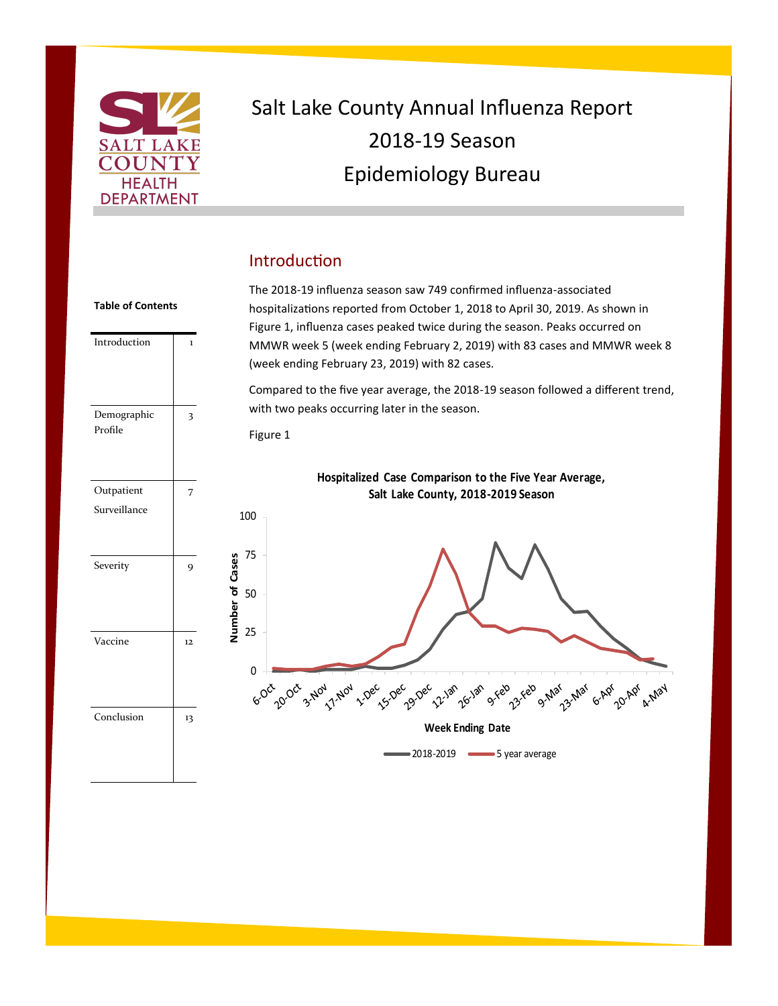

## Salt Lake County Annual Influenza Report 2018-19 Season Epidemiology Bureau

### Introduction

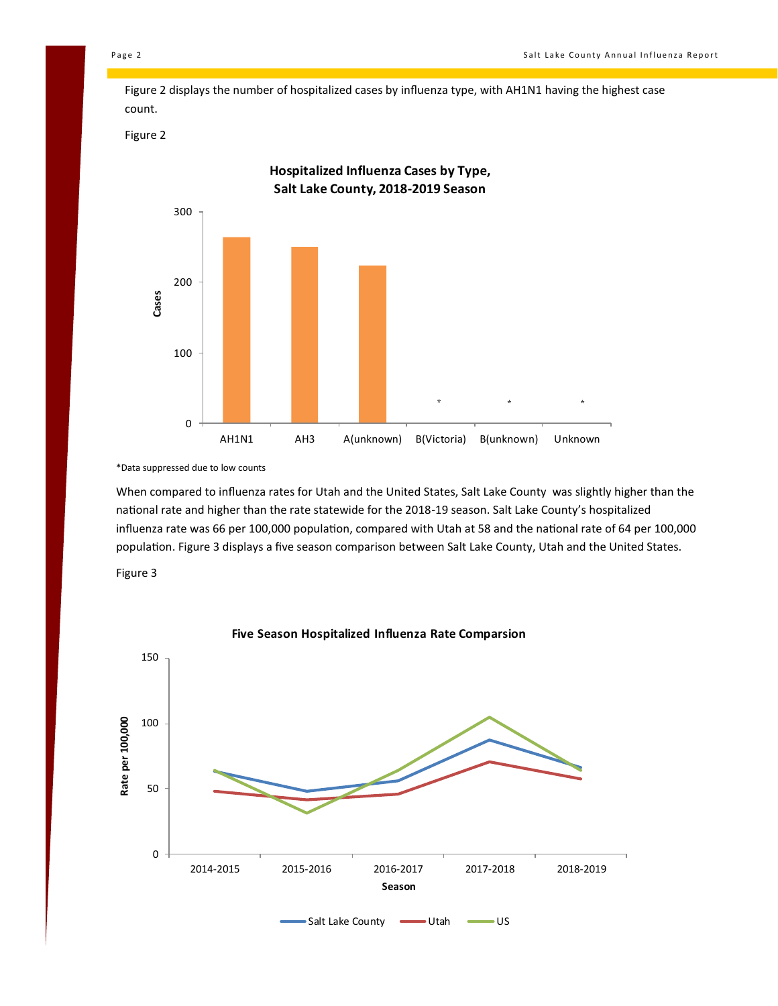Figure 2 displays the number of hospitalized cases by influenza type, with AH1N1 having the highest case count.

Figure 2



\*Data suppressed due to low counts

When compared to influenza rates for Utah and the United States, Salt Lake County was slightly higher than the national rate and higher than the rate statewide for the 2018-19 season. Salt Lake County's hospitalized influenza rate was 66 per 100,000 population, compared with Utah at 58 and the national rate of 64 per 100,000 population. Figure 3 displays a five season comparison between Salt Lake County, Utah and the United States.

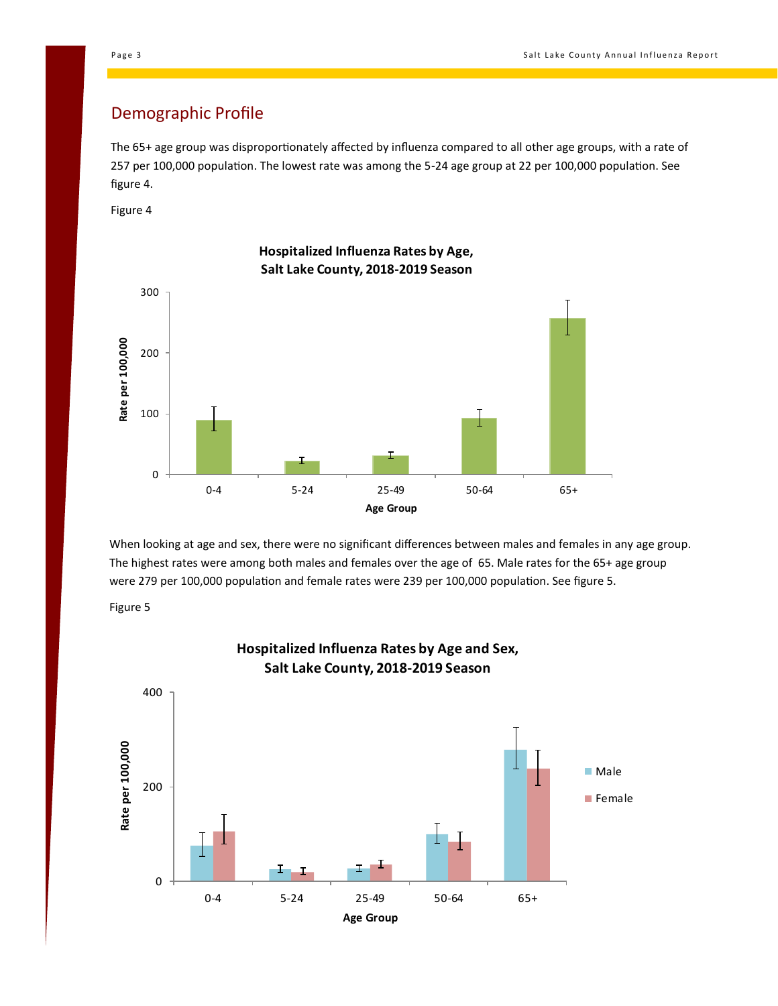### Demographic Profile

The 65+ age group was disproportionately affected by influenza compared to all other age groups, with a rate of 257 per 100,000 population. The lowest rate was among the 5-24 age group at 22 per 100,000 population. See figure 4.

Figure 4



When looking at age and sex, there were no significant differences between males and females in any age group. The highest rates were among both males and females over the age of 65. Male rates for the 65+ age group were 279 per 100,000 population and female rates were 239 per 100,000 population. See figure 5.





**Hospitalized Influenza Rates by Age and Sex,**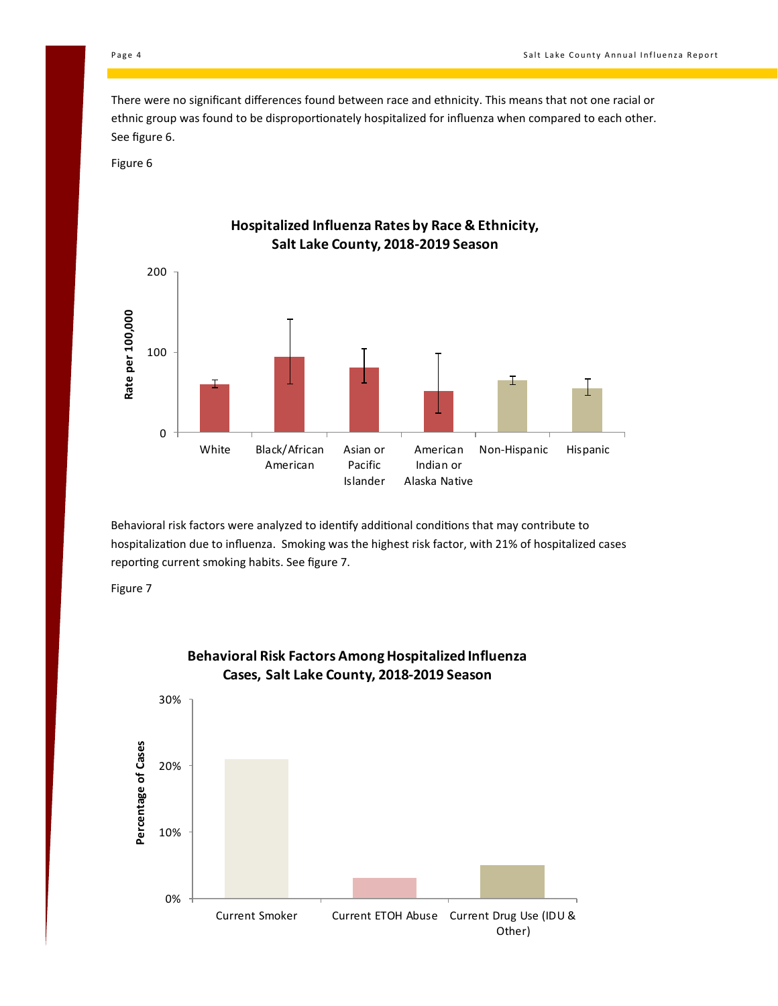There were no significant differences found between race and ethnicity. This means that not one racial or ethnic group was found to be disproportionately hospitalized for influenza when compared to each other. See figure 6.

Figure 6



Behavioral risk factors were analyzed to identify additional conditions that may contribute to hospitalization due to influenza. Smoking was the highest risk factor, with 21% of hospitalized cases reporting current smoking habits. See figure 7.





# **Behavioral Risk Factors Among Hospitalized Influenza**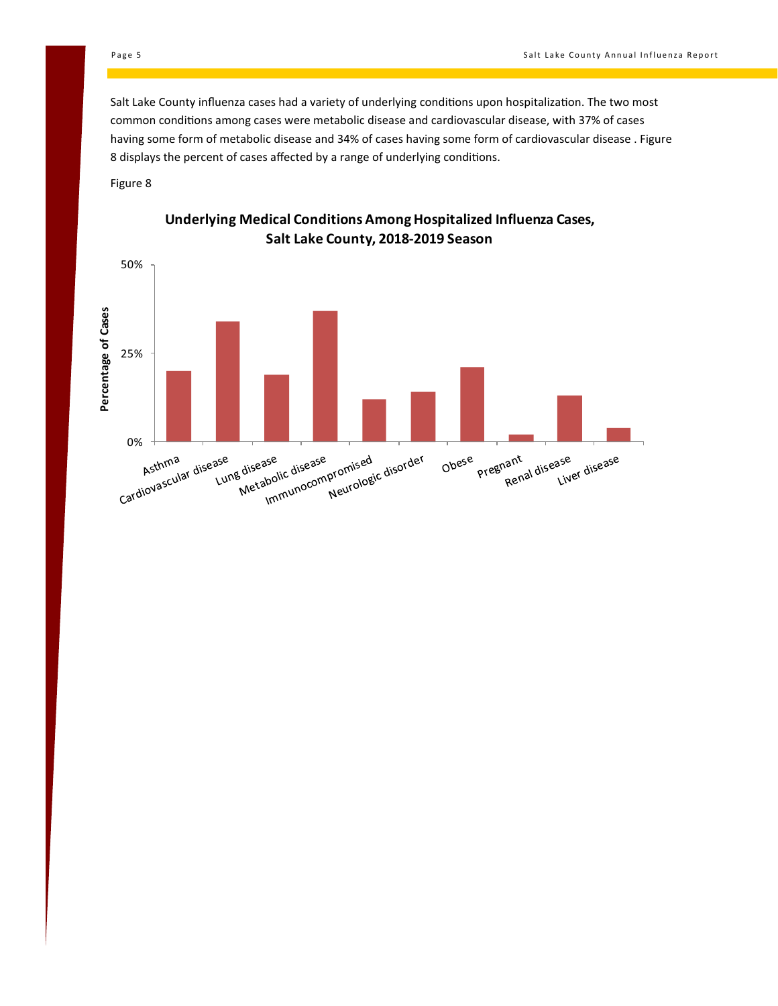Salt Lake County influenza cases had a variety of underlying conditions upon hospitalization. The two most common conditions among cases were metabolic disease and cardiovascular disease, with 37% of cases having some form of metabolic disease and 34% of cases having some form of cardiovascular disease . Figure 8 displays the percent of cases affected by a range of underlying conditions.

Figure 8



#### **Underlying Medical Conditions Among Hospitalized Influenza Cases, Salt Lake County, 2018-2019 Season**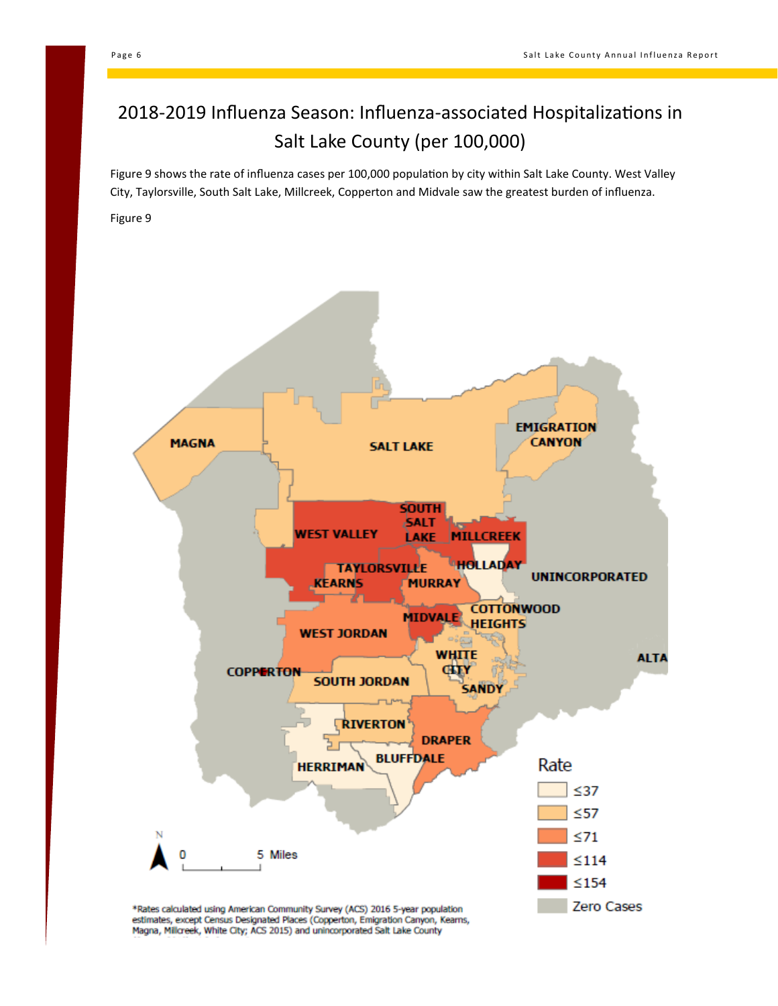### 2018-2019 Influenza Season: Influenza-associated Hospitalizations in Salt Lake County (per 100,000)

Figure 9 shows the rate of influenza cases per 100,000 population by city within Salt Lake County. West Valley City, Taylorsville, South Salt Lake, Millcreek, Copperton and Midvale saw the greatest burden of influenza.

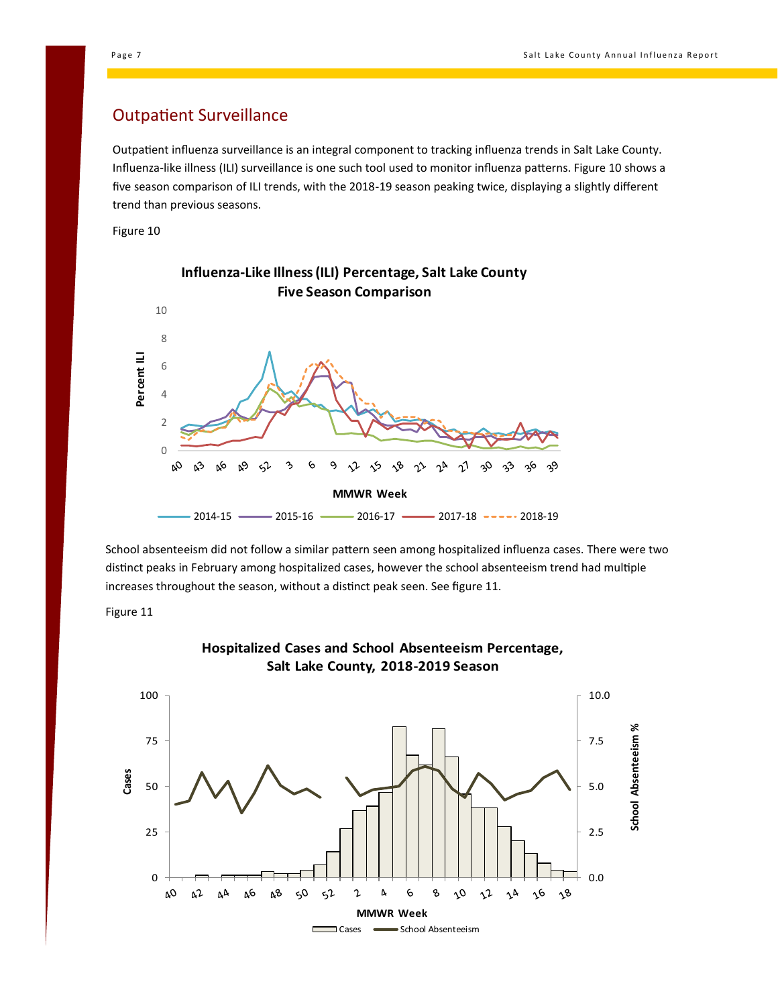#### Outpatient Surveillance

Outpatient influenza surveillance is an integral component to tracking influenza trends in Salt Lake County. Influenza-like illness (ILI) surveillance is one such tool used to monitor influenza patterns. Figure 10 shows a five season comparison of ILI trends, with the 2018-19 season peaking twice, displaying a slightly different trend than previous seasons.

Figure 10



School absenteeism did not follow a similar pattern seen among hospitalized influenza cases. There were two distinct peaks in February among hospitalized cases, however the school absenteeism trend had multiple increases throughout the season, without a distinct peak seen. See figure 11.





#### **Hospitalized Cases and School Absenteeism Percentage, Salt Lake County, 2018-2019 Season**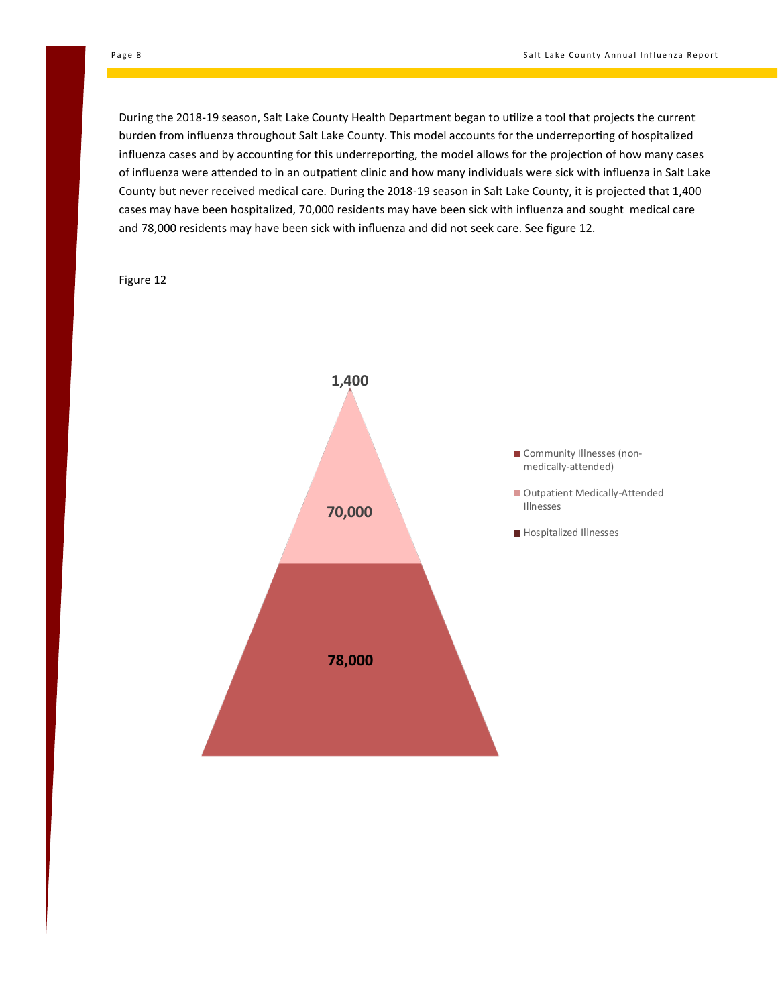During the 2018-19 season, Salt Lake County Health Department began to utilize a tool that projects the current burden from influenza throughout Salt Lake County. This model accounts for the underreporting of hospitalized influenza cases and by accounting for this underreporting, the model allows for the projection of how many cases of influenza were attended to in an outpatient clinic and how many individuals were sick with influenza in Salt Lake County but never received medical care. During the 2018-19 season in Salt Lake County, it is projected that 1,400 cases may have been hospitalized, 70,000 residents may have been sick with influenza and sought medical care and 78,000 residents may have been sick with influenza and did not seek care. See figure 12.

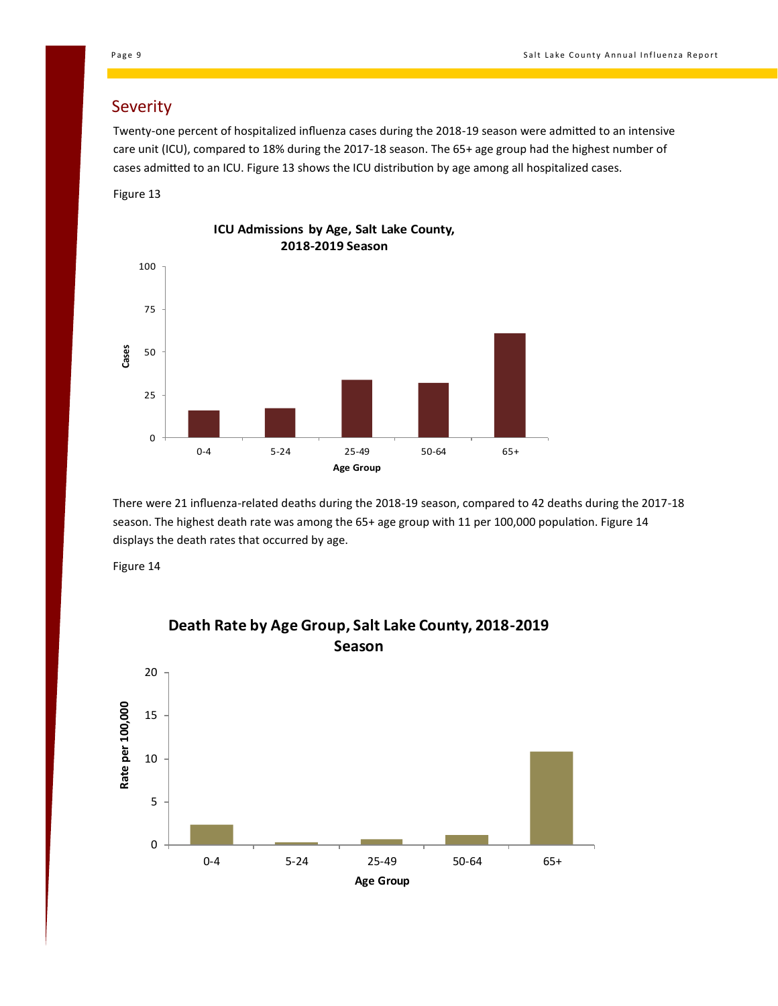#### Severity

Twenty-one percent of hospitalized influenza cases during the 2018-19 season were admitted to an intensive care unit (ICU), compared to 18% during the 2017-18 season. The 65+ age group had the highest number of cases admitted to an ICU. Figure 13 shows the ICU distribution by age among all hospitalized cases.

Figure 13



There were 21 influenza-related deaths during the 2018-19 season, compared to 42 deaths during the 2017-18 season. The highest death rate was among the 65+ age group with 11 per 100,000 population. Figure 14 displays the death rates that occurred by age.

Figure 14



# **Death Rate by Age Group, Salt Lake County, 2018-2019**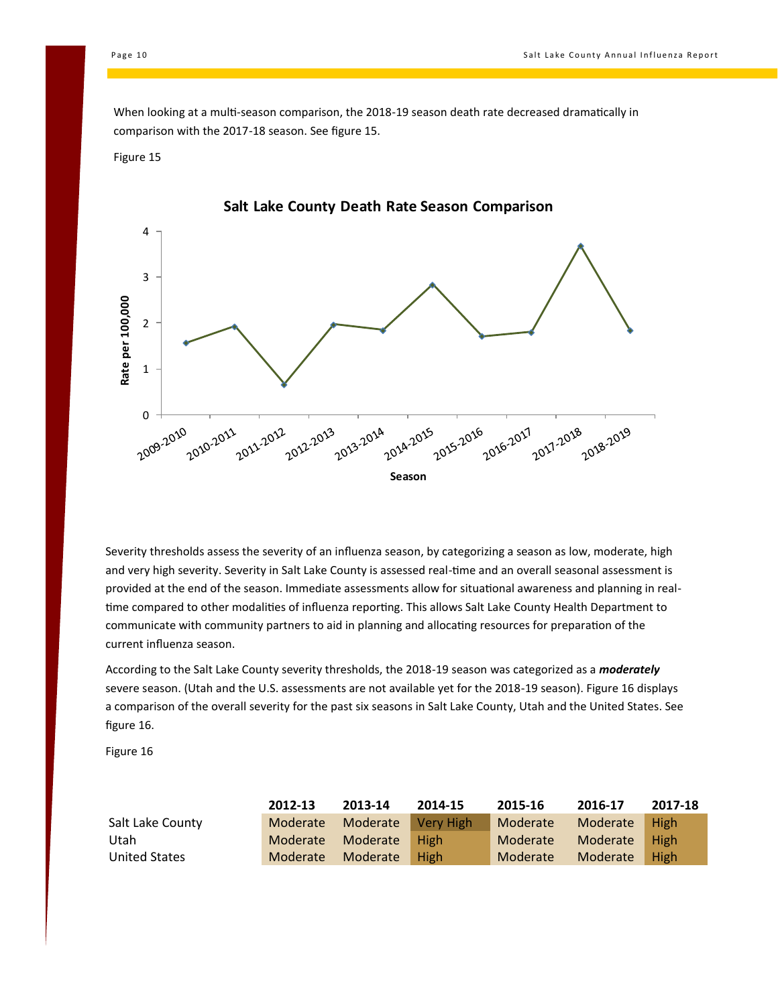When looking at a multi-season comparison, the 2018-19 season death rate decreased dramatically in comparison with the 2017-18 season. See figure 15.

#### Figure 15



Severity thresholds assess the severity of an influenza season, by categorizing a season as low, moderate, high and very high severity. Severity in Salt Lake County is assessed real-time and an overall seasonal assessment is provided at the end of the season. Immediate assessments allow for situational awareness and planning in realtime compared to other modalities of influenza reporting. This allows Salt Lake County Health Department to communicate with community partners to aid in planning and allocating resources for preparation of the current influenza season.

According to the Salt Lake County severity thresholds, the 2018-19 season was categorized as a *moderately* severe season. (Utah and the U.S. assessments are not available yet for the 2018-19 season). Figure 16 displays a comparison of the overall severity for the past six seasons in Salt Lake County, Utah and the United States. See figure 16.

|                  | 2012-13 | 2013-14                     | 2014-15 | 2015-16  | 2016-17       | 2017-18 |
|------------------|---------|-----------------------------|---------|----------|---------------|---------|
| Salt Lake County |         | Moderate Moderate Very High |         | Moderate | Moderate High |         |
| Utah             |         | Moderate Moderate High      |         | Moderate | Moderate High |         |
| United States    |         | Moderate Moderate High      |         | Moderate | Moderate High |         |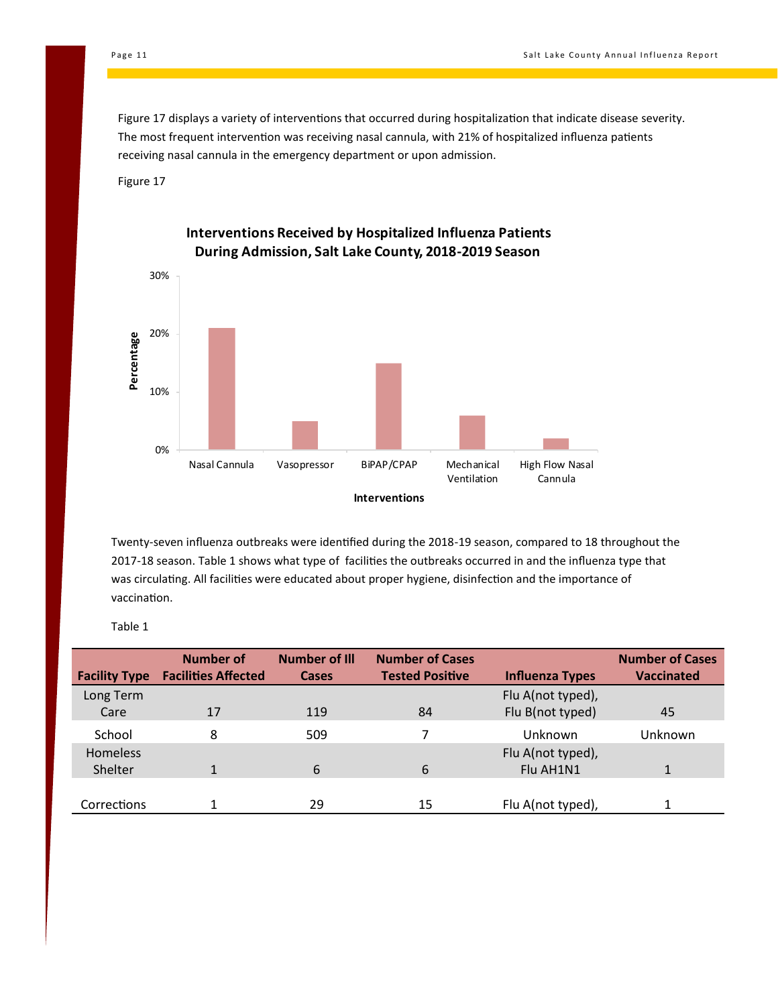Figure 17 displays a variety of interventions that occurred during hospitalization that indicate disease severity. The most frequent intervention was receiving nasal cannula, with 21% of hospitalized influenza patients receiving nasal cannula in the emergency department or upon admission.

Figure 17



Twenty-seven influenza outbreaks were identified during the 2018-19 season, compared to 18 throughout the 2017-18 season. Table 1 shows what type of facilities the outbreaks occurred in and the influenza type that was circulating. All facilities were educated about proper hygiene, disinfection and the importance of vaccination.

| <b>Facility Type</b> | Number of<br><b>Facilities Affected</b> | <b>Number of III</b><br><b>Cases</b> | <b>Number of Cases</b><br><b>Tested Positive</b> | <b>Influenza Types</b> | <b>Number of Cases</b><br>Vaccinated |
|----------------------|-----------------------------------------|--------------------------------------|--------------------------------------------------|------------------------|--------------------------------------|
| Long Term            |                                         |                                      |                                                  | Flu A(not typed),      |                                      |
| Care                 | 17                                      | 119                                  | 84                                               | Flu B(not typed)       | 45                                   |
| School               | 8                                       | 509                                  | 7                                                | Unknown                | Unknown                              |
| Homeless             |                                         |                                      |                                                  | Flu A(not typed),      |                                      |
| Shelter              | 1                                       | 6                                    | 6                                                | Flu AH1N1              |                                      |
|                      |                                         |                                      |                                                  |                        |                                      |
| <b>Corrections</b>   | 1                                       | 29                                   | 15                                               | Flu A(not typed),      | 1                                    |

Table 1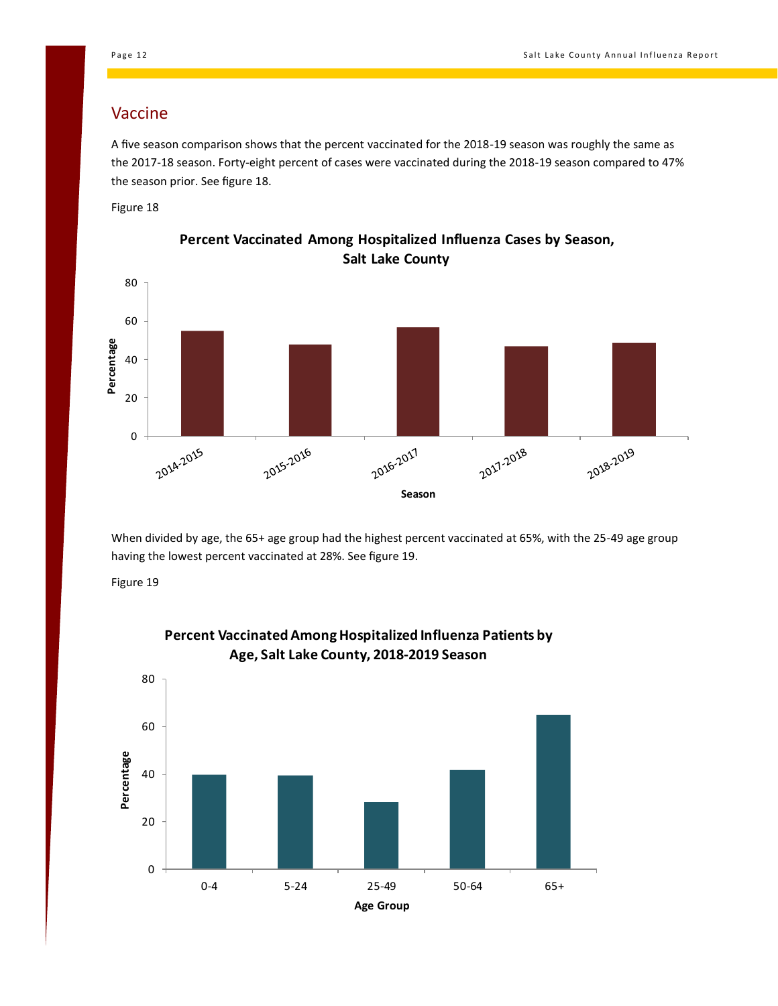#### Vaccine

A five season comparison shows that the percent vaccinated for the 2018-19 season was roughly the same as the 2017-18 season. Forty-eight percent of cases were vaccinated during the 2018-19 season compared to 47% the season prior. See figure 18.

Figure 18



**Percent Vaccinated Among Hospitalized Influenza Cases by Season, Salt Lake County**

When divided by age, the 65+ age group had the highest percent vaccinated at 65%, with the 25-49 age group having the lowest percent vaccinated at 28%. See figure 19.

Figure 19



#### **Percent Vaccinated Among Hospitalized Influenza Patients by Age, Salt Lake County, 2018-2019 Season**